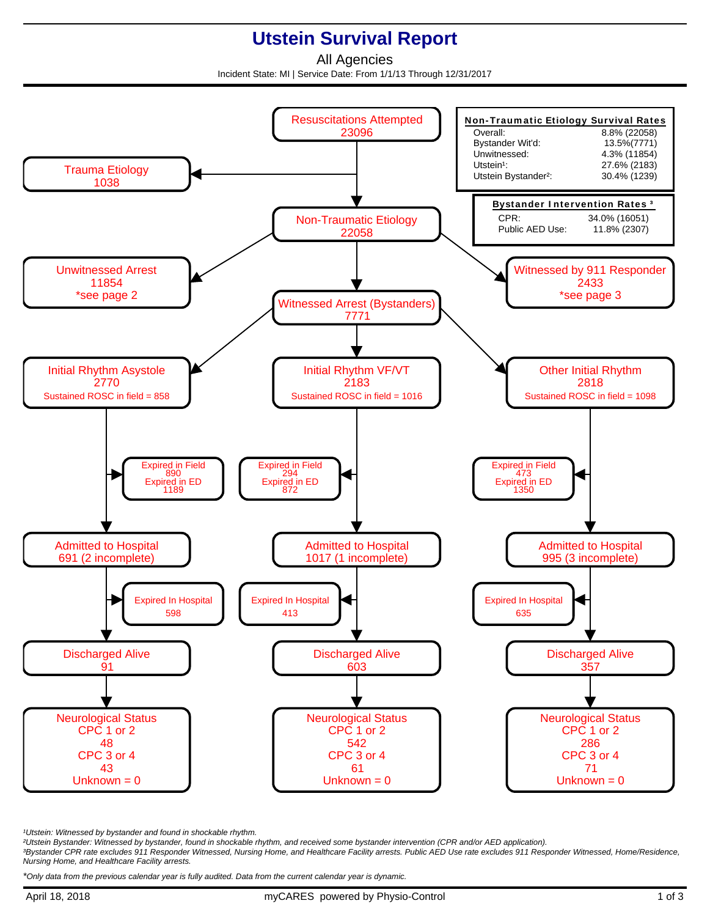## **Utstein Survival Report**

All Agencies

Incident State: MI | Service Date: From 1/1/13 Through 12/31/2017



<sup>1</sup>Utstein: Witnessed by bystander and found in shockable rhythm.

²Utstein Bystander: Witnessed by bystander, found in shockable rhythm, and received some bystander intervention (CPR and/or AED application).

³Bystander CPR rate excludes 911 Responder Witnessed, Nursing Home, and Healthcare Facility arrests. Public AED Use rate excludes 911 Responder Witnessed, Home/Residence, Nursing Home, and Healthcare Facility arrests.

\*Only data from the previous calendar year is fully audited. Data from the current calendar year is dynamic.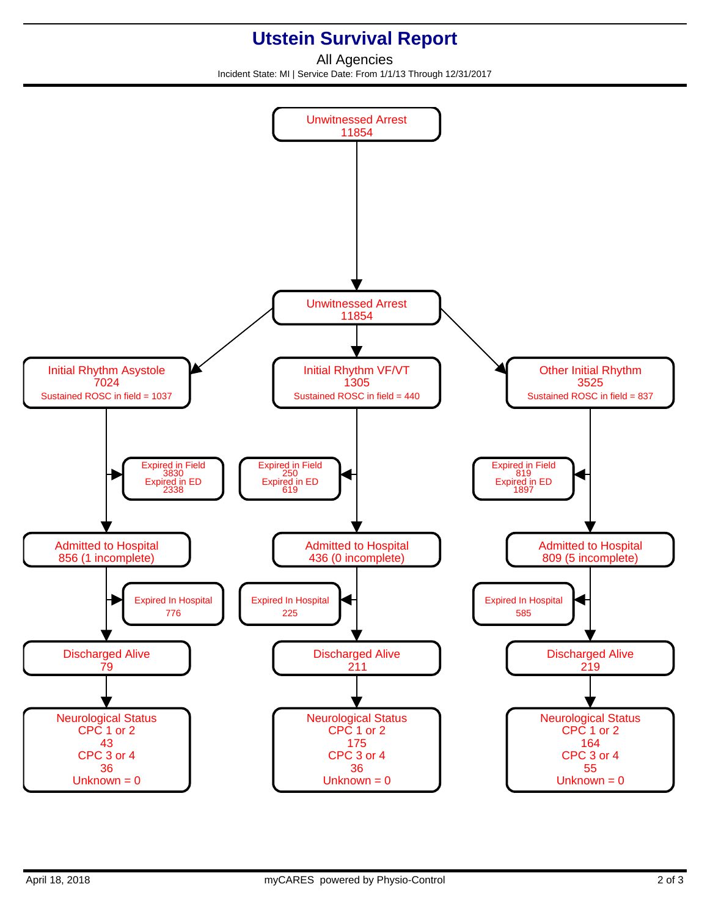## **Utstein Survival Report**

All Agencies Incident State: MI | Service Date: From 1/1/13 Through 12/31/2017